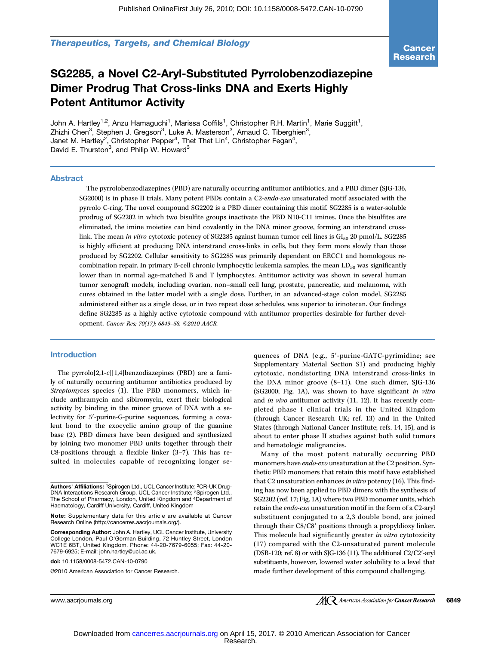Therapeutics, Targets, and Chemical Biology

## SG2285, a Novel C2-Aryl-Substituted Pyrrolobenzodiazepine Dimer Prodrug That Cross-links DNA and Exerts Highly Potent Antitumor Activity

John A. Hartley<sup>1,2</sup>, Anzu Hamaguchi<sup>1</sup>, Marissa Coffils<sup>1</sup>, Christopher R.H. Martin<sup>1</sup>, Marie Suggitt<sup>1</sup>, Zhizhi Chen<sup>3</sup>, Stephen J. Gregson<sup>3</sup>, Luke A. Masterson<sup>3</sup>, Arnaud C. Tiberghien<sup>3</sup>, Janet M. Hartley<sup>2</sup>, Christopher Pepper<sup>4</sup>, Thet Thet Lin<sup>4</sup>, Christopher Fegan<sup>4</sup>, David E. Thurston<sup>3</sup>, and Philip W. Howard<sup>3</sup>

#### Abstract

The pyrrolobenzodiazepines (PBD) are naturally occurring antitumor antibiotics, and a PBD dimer (SJG-136, SG2000) is in phase II trials. Many potent PBDs contain a C2-endo-exo unsaturated motif associated with the pyrrolo C-ring. The novel compound SG2202 is a PBD dimer containing this motif. SG2285 is a water-soluble prodrug of SG2202 in which two bisulfite groups inactivate the PBD N10-C11 imines. Once the bisulfites are eliminated, the imine moieties can bind covalently in the DNA minor groove, forming an interstrand crosslink. The mean in vitro cytotoxic potency of SG2285 against human tumor cell lines is GI<sub>50</sub> 20 pmol/L. SG2285 is highly efficient at producing DNA interstrand cross-links in cells, but they form more slowly than those produced by SG2202. Cellular sensitivity to SG2285 was primarily dependent on ERCC1 and homologous recombination repair. In primary B-cell chronic lymphocytic leukemia samples, the mean  $LD_{50}$  was significantly lower than in normal age-matched B and T lymphocytes. Antitumor activity was shown in several human tumor xenograft models, including ovarian, non–small cell lung, prostate, pancreatic, and melanoma, with cures obtained in the latter model with a single dose. Further, in an advanced-stage colon model, SG2285 administered either as a single dose, or in two repeat dose schedules, was superior to irinotecan. Our findings define SG2285 as a highly active cytotoxic compound with antitumor properties desirable for further development. Cancer Res; 70(17); 6849–58. ©2010 AACR.

## Introduction

The pyrrolo[2,1-c][1,4]benzodiazepines (PBD) are a family of naturally occurring antitumor antibiotics produced by Streptomyces species (1). The PBD monomers, which include anthramycin and sibiromycin, exert their biological activity by binding in the minor groove of DNA with a selectivity for 5′-purine-G-purine sequences, forming a covalent bond to the exocyclic amino group of the guanine base (2). PBD dimers have been designed and synthesized by joining two monomer PBD units together through their C8-positions through a flexible linker (3–7). This has resulted in molecules capable of recognizing longer se-

doi: 10.1158/0008-5472.CAN-10-0790

©2010 American Association for Cancer Research.

quences of DNA (e.g., 5′-purine-GATC-pyrimidine; see Supplementary Material Section S1) and producing highly cytotoxic, nondistorting DNA interstrand cross-links in the DNA minor groove (8–11). One such dimer, SJG-136 (SG2000; Fig. 1A), was shown to have significant in vitro and in vivo antitumor activity (11, 12). It has recently completed phase I clinical trials in the United Kingdom (through Cancer Research UK; ref. 13) and in the United States (through National Cancer Institute; refs. 14, 15), and is about to enter phase II studies against both solid tumors and hematologic malignancies.

Many of the most potent naturally occurring PBD monomers have endo-exo unsaturation at the C2 position. Synthetic PBD monomers that retain this motif have established that C2 unsaturation enhances in vitro potency (16). This finding has now been applied to PBD dimers with the synthesis of SG2202 (ref. 17; Fig. 1A) where two PBD monomer units, which retain the endo-exo unsaturation motif in the form of a C2-aryl substituent conjugated to a 2,3 double bond, are joined through their C8/C8′ positions through a propyldioxy linker. This molecule had significantly greater in vitro cytotoxicity (17) compared with the C2-unsaturated parent molecule (DSB-120; ref. 8) or with SJG-136 (11). The additional C2/C2′-aryl substituents, however, lowered water solubility to a level that made further development of this compound challenging.

Authors' Affiliations: 1Spirogen Ltd., UCL Cancer Institute; <sup>2</sup>CR-UK Drug-DNA Interactions Research Group, UCL Cancer Institute; <sup>3</sup>Spirogen Ltd. The School of Pharmacy, London, United Kingdom and 4Department of Haematology, Cardiff University, Cardiff, United Kingdom

Note: Supplementary data for this article are available at Cancer Research Online (http://cancerres.aacrjournals.org/).

Corresponding Author: John A. Hartley, UCL Cancer Institute, University College London, Paul O'Gorman Building, 72 Huntley Street, London WC1E 6BT, United Kingdom. Phone: 44-20-7679-6055; Fax: 44-20- 7679-6925; E-mail: john.hartley@ucl.ac.uk.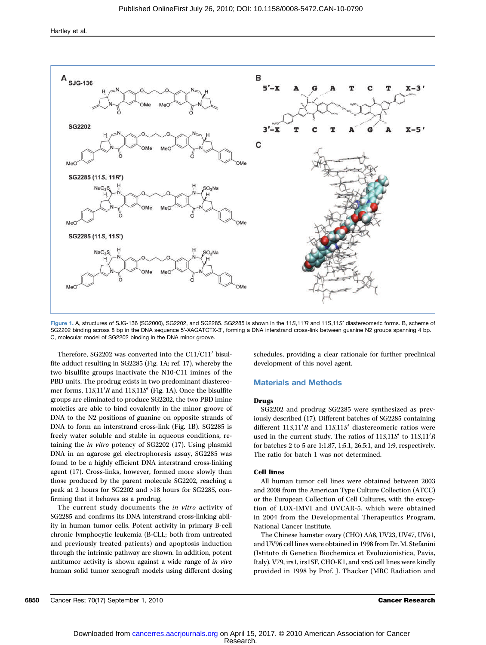

Figure 1. A, structures of SJG-136 (SG2000), SG2202, and SG2285. SG2285 is shown in the 11S,11′R and 11S,11S′ diastereomeric forms. B, scheme of SG2202 binding across 8 bp in the DNA sequence 5′-XAGATCTX-3′, forming a DNA interstrand cross-link between guanine N2 groups spanning 4 bp. C, molecular model of SG2202 binding in the DNA minor groove.

Therefore, SG2202 was converted into the C11/C11′ bisulfite adduct resulting in SG2285 (Fig. 1A; ref. 17), whereby the two bisulfite groups inactivate the N10-C11 imines of the PBD units. The prodrug exists in two predominant diastereomer forms, 11S,11′R and 11S,11S′ (Fig. 1A). Once the bisulfite groups are eliminated to produce SG2202, the two PBD imine moieties are able to bind covalently in the minor groove of DNA to the N2 positions of guanine on opposite strands of DNA to form an interstrand cross-link (Fig. 1B). SG2285 is freely water soluble and stable in aqueous conditions, retaining the in vitro potency of SG2202 (17). Using plasmid DNA in an agarose gel electrophoresis assay, SG2285 was found to be a highly efficient DNA interstrand cross-linking agent (17). Cross-links, however, formed more slowly than those produced by the parent molecule SG2202, reaching a peak at 2 hours for SG2202 and >18 hours for SG2285, confirming that it behaves as a prodrug.

The current study documents the in vitro activity of SG2285 and confirms its DNA interstrand cross-linking ability in human tumor cells. Potent activity in primary B-cell chronic lymphocytic leukemia (B-CLL; both from untreated and previously treated patients) and apoptosis induction through the intrinsic pathway are shown. In addition, potent antitumor activity is shown against a wide range of in vivo human solid tumor xenograft models using different dosing

schedules, providing a clear rationale for further preclinical development of this novel agent.

### Materials and Methods

#### Drugs

SG2202 and prodrug SG2285 were synthesized as previously described (17). Different batches of SG2285 containing different  $11S,11'R$  and  $11S,11S'$  diastereomeric ratios were used in the current study. The ratios of  $11S,11S'$  to  $11S,11'R$ for batches 2 to 5 are 1:1.87, 1:5.1, 26.5:1, and 1:9, respectively. The ratio for batch 1 was not determined.

#### Cell lines

All human tumor cell lines were obtained between 2003 and 2008 from the American Type Culture Collection (ATCC) or the European Collection of Cell Cultures, with the exception of LOX-IMVI and OVCAR-5, which were obtained in 2004 from the Developmental Therapeutics Program, National Cancer Institute.

The Chinese hamster ovary (CHO) AA8, UV23, UV47, UV61, and UV96 cell lines were obtained in 1998 from Dr. M. Stefanini (Istituto di Genetica Biochemica et Evoluzionistica, Pavia, Italy). V79, irs1, irs1SF, CHO-K1, and xrs5 cell lines were kindly provided in 1998 by Prof. J. Thacker (MRC Radiation and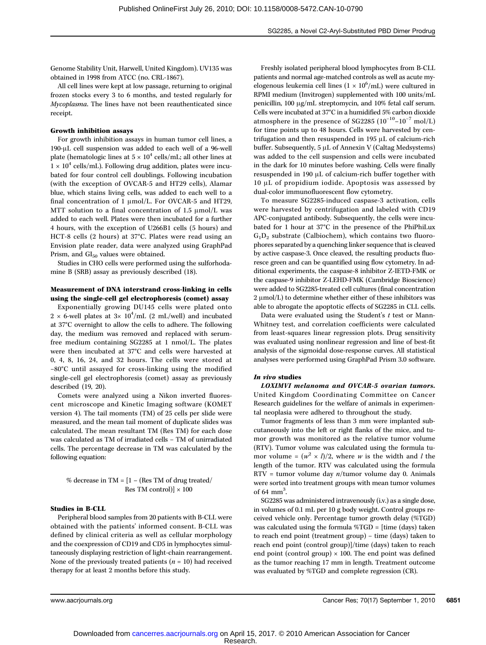Genome Stability Unit, Harwell, United Kingdom). UV135 was obtained in 1998 from ATCC (no. CRL-1867).

All cell lines were kept at low passage, returning to original frozen stocks every 3 to 6 months, and tested regularly for Mycoplasma. The lines have not been reauthenticated since receipt.

#### Growth inhibition assays

For growth inhibition assays in human tumor cell lines, a 190-μL cell suspension was added to each well of a 96-well plate (hematologic lines at  $5 \times 10^4$  cells/mL; all other lines at  $1 \times 10^4$  cells/mL). Following drug addition, plates were incubated for four control cell doublings. Following incubation (with the exception of OVCAR-5 and HT29 cells), Alamar blue, which stains living cells, was added to each well to a final concentration of 1 μmol/L. For OVCAR-5 and HT29, MTT solution to a final concentration of 1.5 μmol/L was added to each well. Plates were then incubated for a further 4 hours, with the exception of U266B1 cells (5 hours) and HCT-8 cells (2 hours) at 37°C. Plates were read using an Envision plate reader, data were analyzed using GraphPad Prism, and GI<sub>50</sub> values were obtained.

Studies in CHO cells were performed using the sulforhodamine B (SRB) assay as previously described (18).

### Measurement of DNA interstrand cross-linking in cells using the single-cell gel electrophoresis (comet) assay

Exponentially growing DU145 cells were plated onto  $2 \times$  6-well plates at  $3 \times 10^4$ /mL (2 mL/well) and incubated at 37°C overnight to allow the cells to adhere. The following day, the medium was removed and replaced with serumfree medium containing SG2285 at 1 nmol/L. The plates were then incubated at 37°C and cells were harvested at 0, 4, 8, 16, 24, and 32 hours. The cells were stored at −80°C until assayed for cross-linking using the modified single-cell gel electrophoresis (comet) assay as previously described (19, 20).

Comets were analyzed using a Nikon inverted fluorescent microscope and Kinetic Imaging software (KOMET version 4). The tail moments (TM) of 25 cells per slide were measured, and the mean tail moment of duplicate slides was calculated. The mean resultant TM (Res TM) for each dose was calculated as TM of irradiated cells − TM of unirradiated cells. The percentage decrease in TM was calculated by the following equation:

% decrease in TM =  $[1 -$  (Res TM of drug treated/ Res TM control) $\vert \times 100$ 

#### Studies in B-CLL

Peripheral blood samples from 20 patients with B-CLL were obtained with the patients' informed consent. B-CLL was defined by clinical criteria as well as cellular morphology and the coexpression of CD19 and CD5 in lymphocytes simultaneously displaying restriction of light-chain rearrangement. None of the previously treated patients  $(n = 10)$  had received therapy for at least 2 months before this study.

Freshly isolated peripheral blood lymphocytes from B-CLL patients and normal age-matched controls as well as acute myelogenous leukemia cell lines  $(1 \times 10^6/\text{mL})$  were cultured in RPMI medium (Invitrogen) supplemented with 100 units/mL penicillin, 100 μg/mL streptomycin, and 10% fetal calf serum. Cells were incubated at 37°C in a humidified 5% carbon dioxide atmosphere in the presence of SG2285 ( $10^{-10}$ – $10^{-7}$  mol/L) for time points up to 48 hours. Cells were harvested by centrifugation and then resuspended in 195 μL of calcium-rich buffer. Subsequently, 5 μL of Annexin V (Caltag Medsystems) was added to the cell suspension and cells were incubated in the dark for 10 minutes before washing. Cells were finally resuspended in 190 μL of calcium-rich buffer together with 10 μL of propidium iodide. Apoptosis was assessed by dual-color immunofluorescent flow cytometry.

To measure SG2285-induced caspase-3 activation, cells were harvested by centrifugation and labeled with CD19 APC-conjugated antibody. Subsequently, the cells were incubated for 1 hour at 37°C in the presence of the PhiPhiLux  $G_1D_2$  substrate (Calbiochem), which contains two fluorophores separated by a quenching linker sequence that is cleaved by active caspase-3. Once cleaved, the resulting products fluoresce green and can be quantified using flow cytometry. In additional experiments, the caspase-8 inhibitor Z-IETD-FMK or the caspase-9 inhibitor Z-LEHD-FMK (Cambridge Bioscience) were added to SG2285-treated cell cultures (final concentration 2 μmol/L) to determine whether either of these inhibitors was able to abrogate the apoptotic effects of SG2285 in CLL cells.

Data were evaluated using the Student's  $t$  test or Mann-Whitney test, and correlation coefficients were calculated from least-squares linear regression plots. Drug sensitivity was evaluated using nonlinear regression and line of best-fit analysis of the sigmoidal dose-response curves. All statistical analyses were performed using GraphPad Prism 3.0 software.

#### In vivo studies

LOXIMVI melanoma and OVCAR-5 ovarian tumors. United Kingdom Coordinating Committee on Cancer Research guidelines for the welfare of animals in experimental neoplasia were adhered to throughout the study.

Tumor fragments of less than 3 mm were implanted subcutaneously into the left or right flanks of the mice, and tumor growth was monitored as the relative tumor volume (RTV). Tumor volume was calculated using the formula tumor volume =  $(w^2 \times l)/2$ , where w is the width and l the length of the tumor. RTV was calculated using the formula  $RTV =$  tumor volume day  $n/t$ umor volume day 0. Animals were sorted into treatment groups with mean tumor volumes of  $64 \text{ mm}^3$ . .

SG2285 was administered intravenously (i.v.) as a single dose, in volumes of 0.1 mL per 10 g body weight. Control groups received vehicle only. Percentage tumor growth delay (%TGD) was calculated using the formula %TGD = [time (days) taken to reach end point (treatment group) − time (days) taken to reach end point (control group)]/time (days) taken to reach end point (control group)  $\times$  100. The end point was defined as the tumor reaching 17 mm in length. Treatment outcome was evaluated by %TGD and complete regression (CR).

www.aacriournals.org Cancer Res; 70(17) September 1, 2010 6851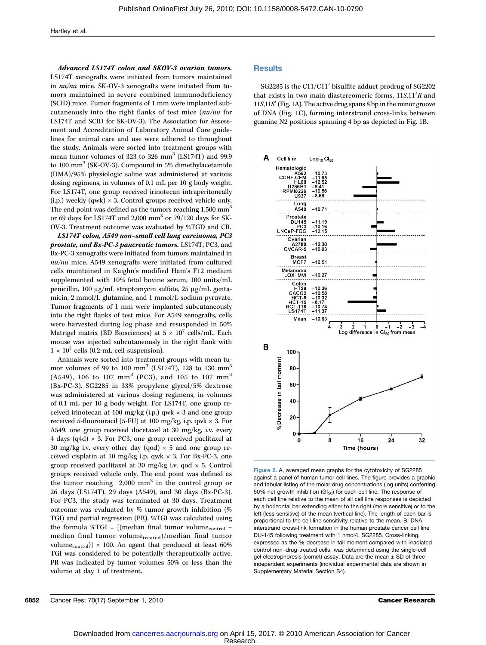Advanced LS174T colon and SKOV-3 ovarian tumors. LS174T xenografts were initiated from tumors maintained in nu/nu mice. SK-OV-3 xenografts were initiated from tumors maintained in severe combined immunodeficiency (SCID) mice. Tumor fragments of 1 mm were implanted subcutaneously into the right flanks of test mice (nu/nu for LS174T and SCID for SK-OV-3). The Association for Assessment and Accreditation of Laboratory Animal Care guidelines for animal care and use were adhered to throughout the study. Animals were sorted into treatment groups with mean tumor volumes of 323 to 326  $mm<sup>3</sup>$  (LS174T) and 99.9 to 100 mm<sup>3</sup> (SK-OV-3). Compound in 5% dimethylacetamide (DMA)/95% physiologic saline was administered at various dosing regimens, in volumes of 0.1 mL per 10 g body weight. For LS174T, one group received irinotecan intraperitoneally (i.p.) weekly (qwk)  $\times$  3. Control groups received vehicle only. The end point was defined as the tumors reaching 1,500 mm<sup>3</sup> or 69 days for LS174T and 2,000 mm<sup>3</sup> or 79/120 days for SK-OV-3. Treatment outcome was evaluated by %TGD and CR.

LS174T colon, A549 non–small cell lung carcinoma, PC3 prostate, and Bx-PC-3 pancreatic tumors. LS174T, PC3, and Bx-PC-3 xenografts were initiated from tumors maintained in nu/nu mice. A549 xenografts were initiated from cultured cells maintained in Kaighn's modified Ham's F12 medium supplemented with 10% fetal bovine serum, 100 units/mL penicillin, 100 μg/mL streptomycin sulfate, 25 μg/mL gentamicin, 2 mmol/L glutamine, and 1 mmol/L sodium pyruvate. Tumor fragments of 1 mm were implanted subcutaneously into the right flanks of test mice. For A549 xenografts, cells were harvested during log phase and resuspended in 50% Matrigel matrix (BD Biosciences) at  $5 \times 10^7$  cells/mL. Each mouse was injected subcutaneously in the right flank with  $1 \times 10^7$  cells (0.2-mL cell suspension).

Animals were sorted into treatment groups with mean tumor volumes of 99 to 100  $mm<sup>3</sup>$  (LS174T), 128 to 130  $mm<sup>3</sup>$ (A549), 106 to 107 mm<sup>3</sup> (PC3), and 105 to 107 mm<sup>3</sup> (Bx-PC-3). SG2285 in 33% propylene glycol/5% dextrose was administered at various dosing regimens, in volumes of 0.1 mL per 10 g body weight. For LS174T, one group received irinotecan at 100 mg/kg (i.p.) qwk × 3 and one group received 5-fluorouracil (5-FU) at 100 mg/kg, i.p. qwk × 3. For A549, one group received docetaxel at 30 mg/kg, i.v. every 4 days (q4d)  $\times$  3. For PC3, one group received paclitaxel at 30 mg/kg i.v. every other day (qod)  $\times$  5 and one group received cisplatin at 10 mg/kg i.p. qwk  $\times$  3. For Bx-PC-3, one group received paclitaxel at 30 mg/kg i.v. qod × 5. Control groups received vehicle only. The end point was defined as the tumor reaching  $2,000$  mm<sup>3</sup> in the control group or 26 days (LS174T), 29 days (A549), and 30 days (Bx-PC-3). For PC3, the study was terminated at 30 days. Treatment outcome was evaluated by % tumor growth inhibition (% TGI) and partial regression (PR). %TGI was calculated using the formula %TGI =  $[$ (median final tumor volume<sub>control</sub> median final tumor volume<sub>treated</sub>)/median final tumor volume<sub>control</sub>)]  $\times$  100. An agent that produced at least 60% TGI was considered to be potentially therapeutically active. PR was indicated by tumor volumes 50% or less than the volume at day 1 of treatment.

#### **Results**

SG2285 is the C11/C11′ bisulfite adduct prodrug of SG2202 that exists in two main diastereomeric forms, 11S,11′R and 11S,11S′ (Fig. 1A). The active drug spans 8 bp in the minor groove of DNA (Fig. 1C), forming interstrand cross-links between guanine N2 positions spanning 4 bp as depicted in Fig. 1B.



Figure 2. A, averaged mean graphs for the cytotoxicity of SG2285 against a panel of human tumor cell lines. The figure provides a graphic and tabular listing of the molar drug concentrations (log units) conferring 50% net growth inhibition ( $Gl_{50}$ ) for each cell line. The response of each cell line relative to the mean of all cell line responses is depicted by a horizontal bar extending either to the right (more sensitive) or to the left (less sensitive) of the mean (vertical line). The length of each bar is proportional to the cell line sensitivity relative to the mean. B, DNA interstrand cross-link formation in the human prostate cancer cell line DU-145 following treatment with 1 nmol/L SG2285. Cross-linking, expressed as the % decrease in tail moment compared with irradiated control non–drug-treated cells, was determined using the single-cell gel electrophoresis (comet) assay. Data are the mean  $\pm$  SD of three independent experiments (individual experimental data are shown in Supplementary Material Section S4).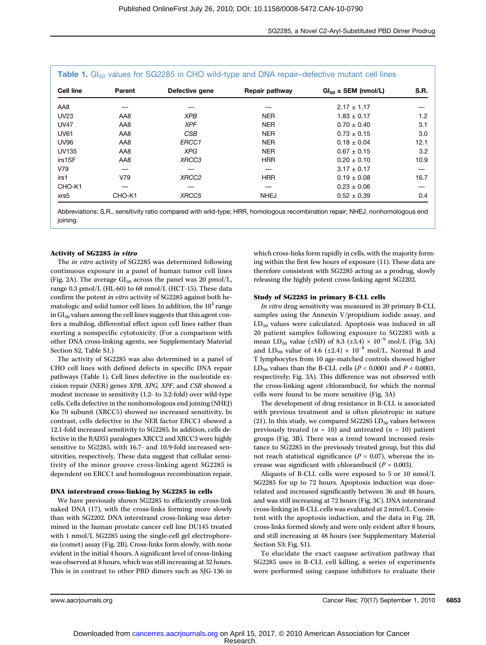| <b>Cell line</b> | Parent | Defective gene    | Repair pathway | $Gl50 \pm SEM$ (nmol/L) | S.R. |
|------------------|--------|-------------------|----------------|-------------------------|------|
| AA8              |        |                   |                | $2.17 \pm 1.17$         |      |
| <b>UV23</b>      | AA8    | <b>XPB</b>        | <b>NER</b>     | $1.83 \pm 0.17$         | 1.2  |
| <b>UV47</b>      | AA8    | <b>XPF</b>        | <b>NER</b>     | $0.70 \pm 0.40$         | 3.1  |
| <b>UV61</b>      | AA8    | <b>CSB</b>        | <b>NER</b>     | $0.73 \pm 0.15$         | 3.0  |
| <b>UV96</b>      | AA8    | ERCC1             | <b>NER</b>     | $0.18 \pm 0.04$         | 12.1 |
| <b>UV135</b>     | AA8    | <b>XPG</b>        | <b>NER</b>     | $0.67 \pm 0.15$         | 3.2  |
| irs1SF           | AA8    | XRCC3             | <b>HRR</b>     | $0.20 \pm 0.10$         | 10.9 |
| V79              |        |                   |                | $3.17 \pm 0.17$         |      |
| irs1             | V79    | XRCC <sub>2</sub> | <b>HRR</b>     | $0.19 \pm 0.08$         | 16.7 |
| CHO-K1           |        |                   |                | $0.23 \pm 0.06$         |      |
| xrs5             | CHO-K1 | XRCC5             | <b>NHEJ</b>    | $0.52 \pm 0.39$         | 0.4  |

Abbreviations: S.R., sensitivity ratio compared with wild-type; HRR, homologous recombination repair; NHEJ, nonhomologous end joining.

#### Activity of SG2285 in vitro

The in vitro activity of SG2285 was determined following continuous exposure in a panel of human tumor cell lines (Fig. 2A). The average  $GI_{50}$  across the panel was 20 pmol/L, range 0.3 pmol/L (HL-60) to 68 nmol/L (HCT-15). These data confirm the potent in vitro activity of SG2285 against both hematologic and solid tumor cell lines. In addition, the  $10^4$  range in  $GI<sub>50</sub>$  values among the cell lines suggests that this agent confers a multilog, differential effect upon cell lines rather than exerting a nonspecific cytotoxicity. (For a comparison with other DNA cross-linking agents, see Supplementary Material Section S2, Table S1.)

The activity of SG2285 was also determined in a panel of CHO cell lines with defined defects in specific DNA repair pathways (Table 1). Cell lines defective in the nucleotide excision repair (NER) genes XPB, XPG, XPF, and CSB showed a modest increase in sensitivity (1.2- to 3.2-fold) over wild-type cells. Cells defective in the nonhomologous end joining (NHEJ) Ku 70 subunit (XRCC5) showed no increased sensitivity. In contrast, cells defective in the NER factor ERCC1 showed a 12.1-fold increased sensitivity to SG2285. In addition, cells defective in the RAD51 paralogues XRCC2 and XRCC3 were highly sensitive to SG2285, with 16.7- and 10.9-fold increased sensitivities, respectively. These data suggest that cellular sensitivity of the minor groove cross-linking agent SG2285 is dependent on ERCC1 and homologous recombination repair.

#### DNA interstrand cross-linking by SG2285 in cells

We have previously shown SG2285 to efficiently cross-link naked DNA (17), with the cross-links forming more slowly than with SG2202. DNA interstrand cross-linking was determined in the human prostate cancer cell line DU145 treated with 1 nmol/L SG2285 using the single-cell gel electrophoresis (comet) assay (Fig. 2B). Cross-links form slowly, with none evident in the initial 4 hours. A significant level of cross-linking was observed at 8 hours, which was still increasing at 32 hours. This is in contrast to other PBD dimers such as SJG-136 in

which cross-links form rapidly in cells, with the majority forming within the first few hours of exposure (11). These data are therefore consistent with SG2285 acting as a prodrug, slowly releasing the highly potent cross-linking agent SG2202.

#### Study of SG2285 in primary B-CLL cells

In vitro drug sensitivity was measured in 20 primary B-CLL samples using the Annexin V/propidium iodide assay, and  $LD_{50}$  values were calculated. Apoptosis was induced in all 20 patient samples following exposure to SG2285 with a mean LD<sub>50</sub> value (±SD) of 8.3 (±3.4) ×  $10^{-9}$  mol/L (Fig. 3A) and LD<sub>90</sub> value of 4.6 (±2.4) × 10<sup>-8</sup> mol/L. Normal B and T lymphocytes from 10 age-matched controls showed higher LD<sub>50</sub> values than the B-CLL cells ( $P < 0.0001$  and  $P < 0.0001$ , respectively; Fig. 3A). This difference was not observed with the cross-linking agent chlorambucil, for which the normal cells were found to be more sensitive (Fig. 3A)

The development of drug resistance in B-CLL is associated with previous treatment and is often pleiotropic in nature (21). In this study, we compared SG2285  $LD_{50}$  values between previously treated  $(n = 10)$  and untreated  $(n = 10)$  patient groups (Fig. 3B). There was a trend toward increased resistance to SG2285 in the previously treated group, but this did not reach statistical significance ( $P = 0.07$ ), whereas the increase was significant with chlorambucil ( $P = 0.003$ ).

Aliquots of B-CLL cells were exposed to 5 or 10 nmol/L SG2285 for up to 72 hours. Apoptosis induction was doserelated and increased significantly between 36 and 48 hours, and was still increasing at 72 hours (Fig. 3C). DNA interstrand cross-linking in B-CLL cells was evaluated at 2 nmol/L. Consistent with the apoptosis induction, and the data in Fig. 2B, cross-links formed slowly and were only evident after 8 hours, and still increasing at 48 hours (see Supplementary Material Section S3; Fig. S1).

To elucidate the exact caspase activation pathway that SG2285 uses in B-CLL cell killing, a series of experiments were performed using caspase inhibitors to evaluate their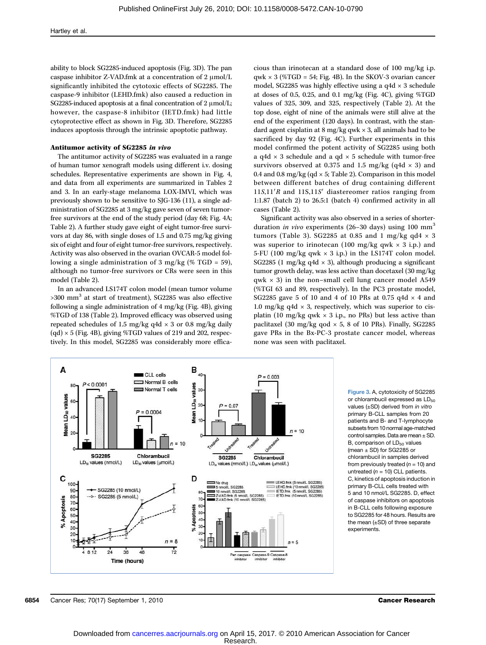ability to block SG2285-induced apoptosis (Fig. 3D). The pan caspase inhibitor Z-VAD.fmk at a concentration of 2 μmol/L significantly inhibited the cytotoxic effects of SG2285. The caspase-9 inhibitor (LEHD.fmk) also caused a reduction in SG2285-induced apoptosis at a final concentration of 2 μmol/L; however, the caspase-8 inhibitor (IETD.fmk) had little cytoprotective effect as shown in Fig. 3D. Therefore, SG2285 induces apoptosis through the intrinsic apoptotic pathway.

## Antitumor activity of SG2285 in vivo

The antitumor activity of SG2285 was evaluated in a range of human tumor xenograft models using different i.v. dosing schedules. Representative experiments are shown in Fig. 4, and data from all experiments are summarized in Tables 2 and 3. In an early-stage melanoma LOX-IMVI, which was previously shown to be sensitive to SJG-136 (11), a single administration of SG2285 at 3 mg/kg gave seven of seven tumorfree survivors at the end of the study period (day 68; Fig. 4A; Table 2). A further study gave eight of eight tumor-free survivors at day 86, with single doses of 1.5 and 0.75 mg/kg giving six of eight and four of eight tumor-free survivors, respectively. Activity was also observed in the ovarian OVCAR-5 model following a single administration of 3 mg/kg (% TGD = 59), although no tumor-free survivors or CRs were seen in this model (Table 2).

In an advanced LS174T colon model (mean tumor volume  $>300$  mm<sup>3</sup> at start of treatment), SG2285 was also effective following a single administration of 4 mg/kg (Fig. 4B), giving %TGD of 138 (Table 2). Improved efficacy was observed using repeated schedules of 1.5 mg/kg q4d  $\times$  3 or 0.8 mg/kg daily  $(qd) \times 5$  (Fig. 4B), giving %TGD values of 219 and 202, respectively. In this model, SG2285 was considerably more efficacious than irinotecan at a standard dose of 100 mg/kg i.p.  $qwk \times 3$  (%TGD = 54; Fig. 4B). In the SKOV-3 ovarian cancer model, SG2285 was highly effective using a q4d × 3 schedule at doses of 0.5, 0.25, and 0.1 mg/kg (Fig. 4C), giving %TGD values of 325, 309, and 325, respectively (Table 2). At the top dose, eight of nine of the animals were still alive at the end of the experiment (120 days). In contrast, with the standard agent cisplatin at  $8 \text{ mg/kg}$  qwk  $\times 3$ , all animals had to be sacrificed by day 92 (Fig. 4C). Further experiments in this model confirmed the potent activity of SG2285 using both a q4d  $\times$  3 schedule and a qd  $\times$  5 schedule with tumor-free survivors observed at 0.375 and 1.5 mg/kg (q4d  $\times$  3) and 0.4 and 0.8 mg/kg (qd  $\times$  5; Table 2). Comparison in this model between different batches of drug containing different 11S,11′R and 11S,11S′ diastereomer ratios ranging from 1:1.87 (batch 2) to 26.5:1 (batch 4) confirmed activity in all cases (Table 2).

Significant activity was also observed in a series of shorterduration *in vivo* experiments (26–30 days) using 100 mm<sup>3</sup> tumors (Table 3). SG2285 at 0.85 and 1 mg/kg qd4  $\times$  3 was superior to irinotecan (100 mg/kg qwk  $\times$  3 i.p.) and 5-FU (100 mg/kg qwk  $\times$  3 i.p.) in the LS174T colon model. SG2285 (1 mg/kg q4d  $\times$  3), although producing a significant tumor growth delay, was less active than docetaxel (30 mg/kg  $qwk \times 3$ ) in the non-small cell lung cancer model A549 (%TGI 63 and 89, respectively). In the PC3 prostate model, SG2285 gave 5 of 10 and 4 of 10 PRs at 0.75 q4d  $\times$  4 and 1.0 mg/kg q4d  $\times$  3, respectively, which was superior to cisplatin (10 mg/kg qwk  $\times$  3 i.p., no PRs) but less active than paclitaxel (30 mg/kg qod  $\times$  5, 8 of 10 PRs). Finally, SG2285 gave PRs in the Bx-PC-3 prostate cancer model, whereas none was seen with paclitaxel.



Figure 3. A, cytotoxicity of SG2285 or chlorambucil expressed as  $LD_{50}$ values (±SD) derived from in vitro primary B-CLL samples from 20 patients and B- and T-lymphocyte subsets from 10 normal age-matched control samples. Data are mean  $\pm$  SD. B, comparison of  $LD_{50}$  values (mean  $\pm$  SD) for SG2285 or chlorambucil in samples derived from previously treated  $(n = 10)$  and untreated  $(n = 10)$  CLL patients. C, kinetics of apoptosis induction in primary B-CLL cells treated with 5 and 10 nmol/L SG2285. D, effect of caspase inhibitors on apoptosis in B-CLL cells following exposure to SG2285 for 48 hours. Results are the mean (±SD) of three separate experiments.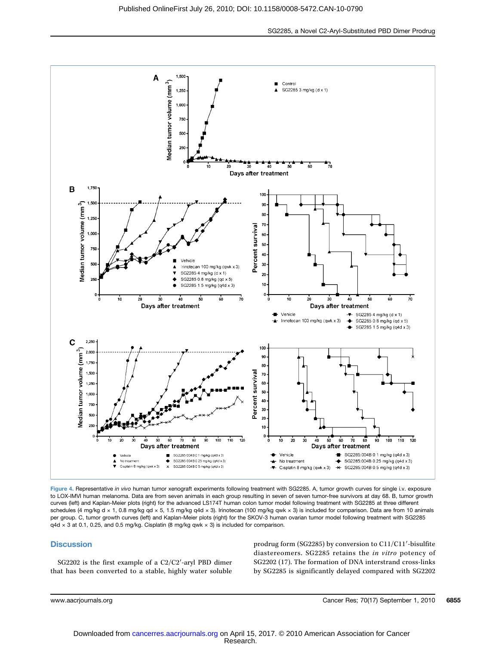SG2285, a Novel C2-Aryl-Substituted PBD Dimer Prodrug



Figure 4. Representative in vivo human tumor xenograft experiments following treatment with SG2285. A, tumor growth curves for single i.v. exposure to LOX-IMVI human melanoma. Data are from seven animals in each group resulting in seven of seven tumor-free survivors at day 68. B, tumor growth curves (left) and Kaplan-Meier plots (right) for the advanced LS174T human colon tumor model following treatment with SG2285 at three different schedules (4 mg/kg d × 1, 0.8 mg/kg qd × 5, 1.5 mg/kg q4d × 3). Irinotecan (100 mg/kg qwk × 3) is included for comparison. Data are from 10 animals per group. C, tumor growth curves (left) and Kaplan-Meier plots (right) for the SKOV-3 human ovarian tumor model following treatment with SG2285  $q4d \times 3$  at 0.1, 0.25, and 0.5 mg/kg. Cisplatin (8 mg/kg qwk  $\times$  3) is included for comparison.

#### **Discussion**

SG2202 is the first example of a C2/C2′-aryl PBD dimer that has been converted to a stable, highly water soluble prodrug form (SG2285) by conversion to C11/C11′-bisulfite diastereomers. SG2285 retains the in vitro potency of SG2202 (17). The formation of DNA interstrand cross-links by SG2285 is significantly delayed compared with SG2202

www.aacrjournals.org Cancer Res; 70(17) September 1, 2010 6855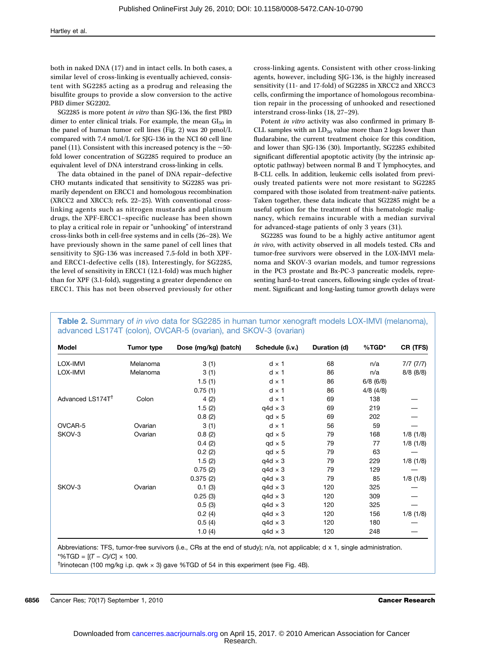both in naked DNA (17) and in intact cells. In both cases, a similar level of cross-linking is eventually achieved, consistent with SG2285 acting as a prodrug and releasing the bisulfite groups to provide a slow conversion to the active PBD dimer SG2202.

SG2285 is more potent in vitro than SJG-136, the first PBD dimer to enter clinical trials. For example, the mean  $GI_{50}$  in the panel of human tumor cell lines (Fig. 2) was 20 pmol/L compared with 7.4 nmol/L for SJG-136 in the NCI 60 cell line panel (11). Consistent with this increased potency is the ∼50 fold lower concentration of SG2285 required to produce an equivalent level of DNA interstrand cross-linking in cells.

The data obtained in the panel of DNA repair–defective CHO mutants indicated that sensitivity to SG2285 was primarily dependent on ERCC1 and homologous recombination (XRCC2 and XRCC3; refs. 22–25). With conventional crosslinking agents such as nitrogen mustards and platinum drugs, the XPF-ERCC1–specific nuclease has been shown to play a critical role in repair or "unhooking" of interstrand cross-links both in cell-free systems and in cells (26–28). We have previously shown in the same panel of cell lines that sensitivity to SJG-136 was increased 7.5-fold in both XPFand ERCC1-defective cells (18). Interestingly, for SG2285, the level of sensitivity in ERCC1 (12.1-fold) was much higher than for XPF (3.1-fold), suggesting a greater dependence on ERCC1. This has not been observed previously for other cross-linking agents. Consistent with other cross-linking agents, however, including SJG-136, is the highly increased sensitivity (11- and 17-fold) of SG2285 in XRCC2 and XRCC3 cells, confirming the importance of homologous recombination repair in the processing of unhooked and resectioned interstrand cross-links (18, 27–29).

Potent in vitro activity was also confirmed in primary B-CLL samples with an  $LD_{50}$  value more than 2 logs lower than fludarabine, the current treatment choice for this condition, and lower than SJG-136 (30). Importantly, SG2285 exhibited significant differential apoptotic activity (by the intrinsic apoptotic pathway) between normal B and T lymphocytes, and B-CLL cells. In addition, leukemic cells isolated from previously treated patients were not more resistant to SG2285 compared with those isolated from treatment-naïve patients. Taken together, these data indicate that SG2285 might be a useful option for the treatment of this hematologic malignancy, which remains incurable with a median survival for advanced-stage patients of only 3 years (31).

SG2285 was found to be a highly active antitumor agent in vivo, with activity observed in all models tested. CRs and tumor-free survivors were observed in the LOX-IMVI melanoma and SKOV-3 ovarian models, and tumor regressions in the PC3 prostate and Bx-PC-3 pancreatic models, representing hard-to-treat cancers, following single cycles of treatment. Significant and long-lasting tumor growth delays were

| Model                        | <b>Tumor type</b> | Dose (mg/kg) (batch) | Schedule (i.v.) | Duration (d) | %TGD*         | CR (TFS)        |
|------------------------------|-------------------|----------------------|-----------------|--------------|---------------|-----------------|
| LOX-IMVI                     | Melanoma          | 3(1)                 | $d \times 1$    | 68           | n/a           | $7/7$ $(7/7)$   |
| LOX-IMVI                     | Melanoma          | 3(1)                 | $d \times 1$    | 86           | n/a           | $8/8$ ( $8/8$ ) |
|                              |                   | 1.5(1)               | $d \times 1$    | 86           | $6/8$ (6/8)   |                 |
|                              |                   | 0.75(1)              | $d \times 1$    | 86           | $4/8$ $(4/8)$ |                 |
| Advanced LS174T <sup>t</sup> | Colon             | 4(2)                 | $d \times 1$    | 69           | 138           |                 |
|                              |                   | 1.5(2)               | $q4d \times 3$  | 69           | 219           |                 |
|                              |                   | 0.8(2)               | $qd \times 5$   | 69           | 202           |                 |
| OVCAR-5                      | Ovarian           | 3(1)                 | $d \times 1$    | 56           | 59            |                 |
| SKOV-3                       | Ovarian           | 0.8(2)               | $qd \times 5$   | 79           | 168           | $1/8$ (1/8)     |
|                              |                   | 0.4(2)               | $qd \times 5$   | 79           | 77            | $1/8$ (1/8)     |
|                              |                   | 0.2(2)               | $qd \times 5$   | 79           | 63            |                 |
|                              |                   | 1.5(2)               | $q4d \times 3$  | 79           | 229           | $1/8$ (1/8)     |
|                              |                   | 0.75(2)              | $q4d \times 3$  | 79           | 129           |                 |
|                              |                   | 0.375(2)             | $q4d \times 3$  | 79           | 85            | $1/8$ (1/8)     |
| SKOV-3                       | Ovarian           | 0.1(3)               | $q4d \times 3$  | 120          | 325           |                 |
|                              |                   | 0.25(3)              | $q4d \times 3$  | 120          | 309           |                 |
|                              |                   | 0.5(3)               | $q4d \times 3$  | 120          | 325           |                 |
|                              |                   | 0.2(4)               | $q4d \times 3$  | 120          | 156           | $1/8$ (1/8)     |
|                              |                   | 0.5(4)               | $q4d \times 3$  | 120          | 180           |                 |
|                              |                   | 1.0(4)               | $q4d \times 3$  | 120          | 248           |                 |

Table 2. Summary of in vivo data for SG2285 in human tumor xenograft models LOX-IMVI (melanoma), advanced LS174T (colon), OVCAR-5 (ovarian), and SKOV-3 (ovarian)

Abbreviations: TFS, tumor-free survivors (i.e., CRs at the end of study); n/a, not applicable; d x 1, single administration. \*%TGD =  $[(T - C)/C] \times 100$ .

<sup>†</sup>Irinotecan (100 mg/kg i.p. qwk × 3) gave %TGD of 54 in this experiment (see Fig. 4B).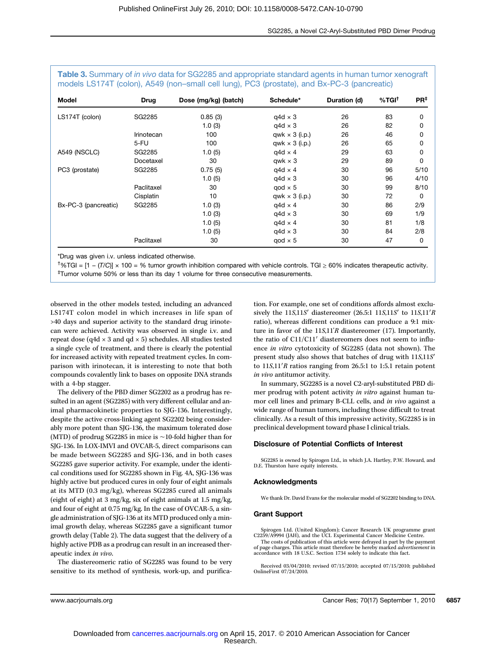| Model                | <b>Drug</b> | Dose (mg/kg) (batch) | Schedule*             | Duration (d) | %TGI <sup>†</sup> | $PR^{\ddagger}$ |
|----------------------|-------------|----------------------|-----------------------|--------------|-------------------|-----------------|
| LS174T (colon)       | SG2285      | 0.85(3)              | $q4d \times 3$        | 26           | 83                | 0               |
|                      |             | 1.0(3)               | $q4d \times 3$        | 26           | 82                | 0               |
|                      | Irinotecan  | 100                  | qwk $\times$ 3 (i.p.) | 26           | 46                | 0               |
|                      | 5-FU        | 100                  | $qwk \times 3$ (i.p.) | 26           | 65                | 0               |
| A549 (NSCLC)         | SG2285      | 1.0(5)               | $q4d \times 4$        | 29           | 63                | 0               |
|                      | Docetaxel   | 30                   | gwk $\times$ 3        | 29           | 89                | 0               |
| PC3 (prostate)       | SG2285      | 0.75(5)              | $q4d \times 4$        | 30           | 96                | 5/10            |
|                      |             | 1.0(5)               | $q4d \times 3$        | 30           | 96                | 4/10            |
|                      | Paclitaxel  | 30                   | $q$ od $\times$ 5     | 30           | 99                | 8/10            |
|                      | Cisplatin   | 10                   | qwk $\times$ 3 (i.p.) | 30           | 72                | 0               |
| Bx-PC-3 (pancreatic) | SG2285      | 1.0(3)               | $q4d \times 4$        | 30           | 86                | 2/9             |
|                      |             | 1.0(3)               | $q4d \times 3$        | 30           | 69                | 1/9             |
|                      |             | 1.0(5)               | $q4d \times 4$        | 30           | 81                | 1/8             |
|                      |             | 1.0(5)               | $q4d \times 3$        | 30           | 84                | 2/8             |
|                      | Paclitaxel  | 30                   | $q$ od $\times$ 5     | 30           | 47                | 0               |

Table 3. Summary of in vivo data for SG2285 and appropriate standard agents in human tumor xenograft

\*Drug was given i.v. unless indicated otherwise.

† %TGI = [1 − (T/C)] × 100 = % tumor growth inhibition compared with vehicle controls. TGI ≥ 60% indicates therapeutic activity. ‡ Tumor volume 50% or less than its day 1 volume for three consecutive measurements.

observed in the other models tested, including an advanced LS174T colon model in which increases in life span of >40 days and superior activity to the standard drug irinotecan were achieved. Activity was observed in single i.v. and repeat dose (q4d  $\times$  3 and qd  $\times$  5) schedules. All studies tested a single cycle of treatment, and there is clearly the potential for increased activity with repeated treatment cycles. In comparison with irinotecan, it is interesting to note that both compounds covalently link to bases on opposite DNA strands with a 4-bp stagger.

The delivery of the PBD dimer SG2202 as a prodrug has resulted in an agent (SG2285) with very different cellular and animal pharmacokinetic properties to SJG-136. Interestingly, despite the active cross-linking agent SG2202 being considerably more potent than SJG-136, the maximum tolerated dose (MTD) of prodrug SG2285 in mice is ∼10-fold higher than for SJG-136. In LOX-IMVI and OVCAR-5, direct comparisons can be made between SG2285 and SJG-136, and in both cases SG2285 gave superior activity. For example, under the identical conditions used for SG2285 shown in Fig. 4A, SJG-136 was highly active but produced cures in only four of eight animals at its MTD (0.3 mg/kg), whereas SG2285 cured all animals (eight of eight) at 3 mg/kg, six of eight animals at 1.5 mg/kg, and four of eight at 0.75 mg/kg. In the case of OVCAR-5, a single administration of SJG-136 at its MTD produced only a minimal growth delay, whereas SG2285 gave a significant tumor growth delay (Table 2). The data suggest that the delivery of a highly active PDB as a prodrug can result in an increased therapeutic index in vivo.

The diastereomeric ratio of SG2285 was found to be very sensitive to its method of synthesis, work-up, and purification. For example, one set of conditions affords almost exclusively the 11S,11S′ diastereomer (26.5:1 11S,11S′ to 11S,11′R ratio), whereas different conditions can produce a 9:1 mixture in favor of the 11S,11'R diastereomer (17). Importantly, the ratio of C11/C11′ diastereomers does not seem to influence in vitro cytotoxicity of SG2285 (data not shown). The present study also shows that batches of drug with 11S,11S′ to 11S,11′R ratios ranging from 26.5:1 to 1:5.1 retain potent in vivo antitumor activity.

In summary, SG2285 is a novel C2-aryl-substituted PBD dimer prodrug with potent activity in vitro against human tumor cell lines and primary B-CLL cells, and in vivo against a wide range of human tumors, including those difficult to treat clinically. As a result of this impressive activity, SG2285 is in preclinical development toward phase I clinical trials.

#### Disclosure of Potential Conflicts of Interest

SG2285 is owned by Spirogen Ltd., in which J.A. Hartley, P.W. Howard, and D.E. Thurston have equity interests.

#### Acknowledgments

We thank Dr. David Evans for the molecular model of SG2202 binding to DNA.

#### Grant Support

Spirogen Ltd. (United Kingdom); Cancer Research UK programme grant C2259/A9994 (JAH), and the UCL Experimental Cancer Medicine Centre. The costs of publication of this article were defrayed in part by the payment of page charges. This article must therefore be hereby marked *advertisement* in accordance with 18 U.S.C. Section 1734 solely to indicate this

Received 03/04/2010; revised 07/15/2010; accepted 07/15/2010; published OnlineFirst 07/24/2010.

www.aacrjournals.org Cancer Res; 70(17) September 1, 2010 6857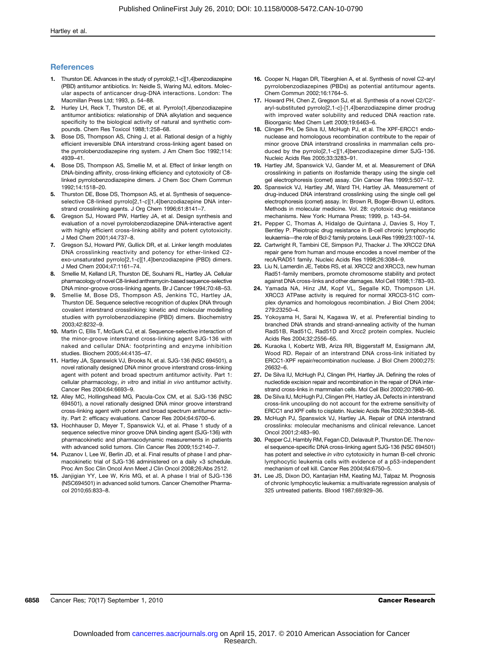#### **References**

- 1. Thurston DE. Advances in the study of pyrrolo[2,1-c][1,4]benzodiazepine (PBD) antitumor antibiotics. In: Neidle S, Waring MJ, editors. Molecular aspects of anticancer drug-DNA interactions. London: The Macmillan Press Ltd; 1993, p. 54–88.
- 2. Hurley LH, Reck T, Thurston DE, et al. Pyrrolo(1,4)benzodiazepine antitumor antibiotics: relationship of DNA alkylation and sequence specificity to the biological activity of natural and synthetic compounds. Chem Res Toxicol 1988;1:258–68.
- 3. Bose DS, Thompson AS, Ching J, et al. Rational design of a highly efficient irreversible DNA interstrand cross-linking agent based on the pyrrolobenzodiazepine ring system. J Am Chem Soc 1992;114: 4939–41.
- 4. Bose DS, Thompson AS, Smellie M, et al. Effect of linker length on DNA-binding affinity, cross-linking efficiency and cytotoxicity of C8 linked pyrrolobenzodiazepine dimers. J Chem Soc Chem Commun 1992;14:1518–20.
- Thurston DE, Bose DS, Thompson AS, et al. Synthesis of sequenceselective C8-linked pyrrolo[2,1-c][1,4]benzodiazepine DNA interstrand crosslinking agents. J Org Chem 1996;61:8141–7.
- 6. Gregson SJ, Howard PW, Hartley JA, et al. Design synthesis and evaluation of a novel pyrrolobenzodiazepine DNA-interactive agent with highly efficient cross-linking ability and potent cytotoxicity. J Med Chem 2001;44:737–8.
- 7. Gregson SJ, Howard PW, Gullick DR, et al. Linker length modulates DNA crosslinking reactivity and potency for ether-linked C2 exo-unsaturated pyrrolo[2,1-c][1,4]benzodiazepine (PBD) dimers. J Med Chem 2004;47:1161–74.
- 8. Smellie M, Kelland LR, Thurston DE, Souhami RL, Hartley JA. Cellular pharmacology of novel C8-linked anthramycin-based sequence-selective DNA minor-groove cross-linking agents. Br J Cancer 1994;70:48–53.
- Smellie M, Bose DS, Thompson AS, Jenkins TC, Hartley JA, Thurston DE. Sequence selective recognition of duplex DNA through covalent interstrand crosslinking: kinetic and molecular modelling studies with pyrrolobenzodiazepine (PBD) dimers. Biochemistry 2003;42:8232–9.
- 10. Martin C, Ellis T, McGurk CJ, et al. Sequence-selective interaction of the minor-groove interstrand cross-linking agent SJG-136 with naked and cellular DNA: footprinting and enzyme inhibition studies. Biochem 2005;44:4135–47.
- 11. Hartley JA, Spanswick VJ, Brooks N, et al. SJG-136 (NSC 694501), a novel rationally designed DNA minor groove interstrand cross-linking agent with potent and broad spectrum antitumor activity. Part 1: cellular pharmacology, in vitro and initial in vivo antitumor activity. Cancer Res 2004;64:6693–9.
- 12. Alley MC, Hollingshead MG, Pacula-Cox CM, et al. SJG-136 (NSC 694501), a novel rationally designed DNA minor groove interstrand cross-linking agent with potent and broad spectrum antitumor activity. Part 2: efficacy evaluations. Cancer Res 2004;64:6700–6.
- 13. Hochhauser D, Meyer T, Spanswick VJ, et al. Phase 1 study of a sequence selective minor groove DNA binding agent (SJG-136) with pharmacokinetic and pharmacodynamic measurements in patients with advanced solid tumors. Clin Cancer Res 2009;15:2140–7.
- 14. Puzanov I, Lee W, Berlin JD, et al. Final results of phase I and pharmacokinetic trial of SJG-136 administered on a daily ×3 schedule. Proc Am Soc Clin Oncol Ann Meet J Clin Oncol 2008;26:Abs 2512.
- 15. Janjigian YY, Lee W, Kris MG, et al. A phase I trial of SJG-136 (NSC694501) in advanced solid tumors. Cancer Chemother Pharmacol 2010;65:833–8.
- 16. Cooper N, Hagan DR, Tiberghien A, et al. Synthesis of novel C2-aryl pyrrolobenzodiazepines (PBDs) as potential antitumour agents. Chem Commun 2002;16:1764–5.
- 17. Howard PH, Chen Z, Gregson SJ, et al. Synthesis of a novel C2/C2′ aryl-substituted pyrrolo[2,1-c]-[1,4]benzodiazepine dimer prodrug with improved water solubility and reduced DNA reaction rate. Bioorganic Med Chem Lett 2009;19:6463–6.
- 18. Clingen PH, De Silva IU, McHugh PJ, et al. The XPF-ERCC1 endonuclease and homologous recombination contribute to the repair of minor groove DNA interstrand crosslinks in mammalian cells produced by the pyrrolo[2,1-c][1,4]benzodiazepine dimer SJG-136. Nucleic Acids Res 2005;33:3283–91.
- 19. Hartley JM, Spanswick VJ, Gander M, et al. Measurement of DNA crosslinking in patients on ifosfamide therapy using the single cell gel electrophoresis (comet) assay. Clin Cancer Res 1999;5:507–12.
- 20. Spanswick VJ, Hartley JM, Ward TH, Hartley JA. Measurement of drug-induced DNA interstrand crosslinking using the single cell gel electrophoresis (comet) assay. In: Brown R, Boger-Brown U, editors. Methods in molecular medicine. Vol. 28: cytotoxic drug resistance mechanisms. New York: Humana Press; 1999, p. 143–54.
- 21. Pepper C, Thomas A, Hidalgo de Quintana J, Davies S, Hoy T, Bentley P. Pleiotropic drug resistance in B-cell chronic lymphocytic leukaemia—the role of Bcl-2 family proteins. Leuk Res 1999;23:1007–14.
- 22. Cartwright R, Tambini CE, Simpson PJ, Thacker J. The XRCC2 DNA repair gene from human and mouse encodes a novel member of the recA/RAD51 family. Nucleic Acids Res 1998;26:3084–9.
- 23. Liu N, Lamerdin JE, Tebbs RS, et al. XRCC2 and XRCC3, new human Rad51-family members, promote chromosome stability and protect against DNA cross-links and other damages. Mol Cell 1998;1:783–93.
- 24. Yamada NA, Hinz JM, Kopf VL, Segalle KD, Thompson LH. XRCC3 ATPase activity is required for normal XRCC3-51C complex dynamics and homologous recombination. J Biol Chem 2004; 279:23250–4.
- 25. Yokoyama H, Sarai N, Kagawa W, et al. Preferential binding to branched DNA strands and strand-annealing activity of the human Rad51B, Rad51C, Rad51D and Xrcc2 protein complex. Nucleic Acids Res 2004;32:2556–65.
- 26. Kuraoka I, Kobertz WB, Ariza RR, Biggerstaff M, Essigmann JM, Wood RD. Repair of an interstrand DNA cross-link initiated by ERCC1-XPF repair/recombination nuclease. J Biol Chem 2000;275: 26632–6.
- 27. De Silva IU, McHugh PJ, Clingen PH, Hartley JA. Defining the roles of nucleotide excision repair and recombination in the repair of DNA interstrand cross-links in mammalian cells. Mol Cell Biol 2000;20:7980–90.
- 28. De Silva IU, McHugh PJ, Clingen PH, Hartley JA. Defects in interstrand cross-link uncoupling do not account for the extreme sensitivity of ERCC1 and XPF cells to cisplatin. Nucleic Acids Res 2002;30:3848–56.
- 29. McHugh PJ, Spanswick VJ, Hartley JA, Repair of DNA interstrand crosslinks: molecular mechanisms and clinical relevance. Lancet Oncol 2001;2:483–90.
- 30. Pepper CJ, Hambly RM, Fegan CD, Delavault P, Thurston DE. The novel sequence-specific DNA cross-linking agent SJG-136 (NSC 694501) has potent and selective in vitro cytotoxicity in human B-cell chronic lymphocytic leukemia cells with evidence of a p53-independent mechanism of cell kill. Cancer Res 2004;64:6750–5.
- 31. Lee JS, Dixon DO, Kantarjian HM, Keating MJ, Talpaz M. Prognosis of chronic lymphocytic leukemia: a multivariate regression analysis of 325 untreated patients. Blood 1987;69:929–36.